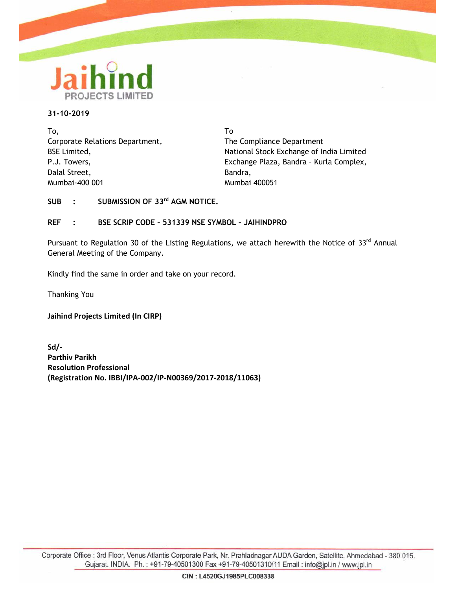

### **31-10-2019**

To, Corporate Relations Department, BSE Limited, P.J. Towers, Dalal Street, Mumbai-400 001

To The Compliance Department National Stock Exchange of India Limited Exchange Plaza, Bandra – Kurla Complex, Bandra, Mumbai 400051

**SUB : SUBMISSION OF 33rd AGM NOTICE.**

## **REF : BSE SCRIP CODE – 531339 NSE SYMBOL – JAIHINDPRO**

Pursuant to Regulation 30 of the Listing Regulations, we attach herewith the Notice of 33<sup>rd</sup> Annual General Meeting of the Company.

Kindly find the same in order and take on your record.

Thanking You

**Jaihind Projects Limited (In CIRP)**

**Sd/- Parthiv Parikh Resolution Professional (Registration No. IBBI/IPA-002/IP-N00369/2017-2018/11063)**

Corporate Office : 3rd Floor, Venus Atlantis Corporate Park, Nr. Prahladnagar AUDA Garden, Satellite. Ahmedabad - 380 015. Gujarat. INDIA. Ph.: +91-79-40501300 Fax +91-79-40501310/11 Email: info@jpl.in / www.jpl.in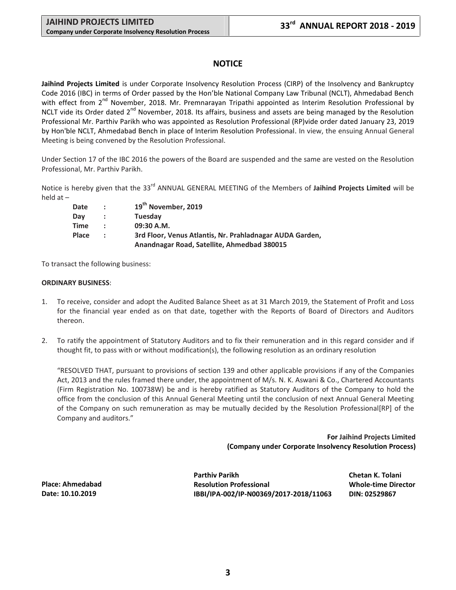# **NOTICE**

**Jaihind Projects Limited** is under Corporate Insolvency Resolution Process (CIRP) of the Insolvency and Bankruptcy Code 2016 (IBC) in terms of Order passed by the Hon'ble National Company Law Tribunal (NCLT), Ahmedabad Bench with effect from 2<sup>nd</sup> November, 2018. Mr. Premnarayan Tripathi appointed as Interim Resolution Professional by NCLT vide its Order dated 2<sup>nd</sup> November, 2018. Its affairs, business and assets are being managed by the Resolution Professional Mr. Parthiv Parikh who was appointed as Resolution Professional (RP)vide order dated January 23, 2019 by Hon'ble NCLT, Ahmedabad Bench in place of Interim Resolution Professional. In view, the ensuing Annual General Meeting is being convened by the Resolution Professional.

Under Section 17 of the IBC 2016 the powers of the Board are suspended and the same are vested on the Resolution Professional, Mr. Parthiv Parikh.

Notice is hereby given that the 33rd ANNUAL GENERAL MEETING of the Members of **Jaihind Projects Limited** will be held at –

| Date  | $\mathcal{L}$  | 19 <sup>th</sup> November, 2019                          |
|-------|----------------|----------------------------------------------------------|
| Dav   | $\mathbf{r}$   | Tuesday                                                  |
| Time  | $\bullet$      | 09:30 A.M.                                               |
| Place | $\mathbb{R}^n$ | 3rd Floor, Venus Atlantis, Nr. Prahladnagar AUDA Garden, |
|       |                | Anandnagar Road, Satellite, Ahmedbad 380015              |

To transact the following business:

### **ORDINARY BUSINESS**:

- 1. To receive, consider and adopt the Audited Balance Sheet as at 31 March 2019, the Statement of Profit and Loss for the financial year ended as on that date, together with the Reports of Board of Directors and Auditors thereon.
- 2. To ratify the appointment of Statutory Auditors and to fix their remuneration and in this regard consider and if thought fit, to pass with or without modification(s), the following resolution as an ordinary resolution

"RESOLVED THAT, pursuant to provisions of section 139 and other applicable provisions if any of the Companies Act, 2013 and the rules framed there under, the appointment of M/s. N. K. Aswani & Co., Chartered Accountants (Firm Registration No. 100738W) be and is hereby ratified as Statutory Auditors of the Company to hold the office from the conclusion of this Annual General Meeting until the conclusion of next Annual General Meeting of the Company on such remuneration as may be mutually decided by the Resolution Professional[RP] of the Company and auditors."

> **For Jaihind Projects Limited (Company under Corporate Insolvency Resolution Process)**

**Place: Ahmedabad Date: 10.10.2019**

**Parthiv Parikh Chetan K. Tolani Resolution Professional Whole-time Director IBBI/IPA-002/IP-N00369/2017-2018/11063 DIN: 02529867**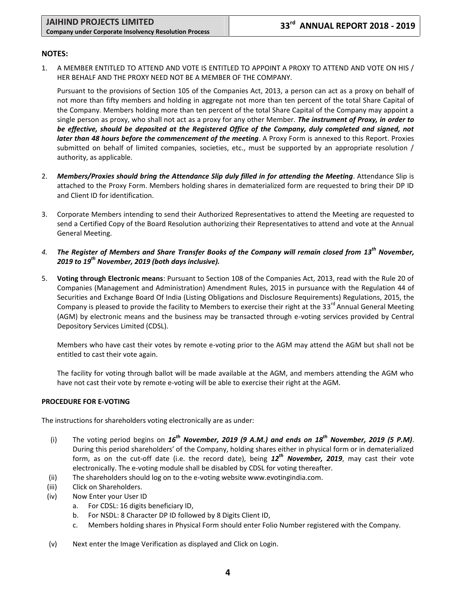## **NOTES:**

1. A MEMBER ENTITLED TO ATTEND AND VOTE IS ENTITLED TO APPOINT A PROXY TO ATTEND AND VOTE ON HIS / HER BEHALF AND THE PROXY NEED NOT BE A MEMBER OF THE COMPANY.

Pursuant to the provisions of Section 105 of the Companies Act, 2013, a person can act as a proxy on behalf of not more than fifty members and holding in aggregate not more than ten percent of the total Share Capital of the Company. Members holding more than ten percent of the total Share Capital of the Company may appoint a single person as proxy, who shall not act as a proxy for any other Member. *The instrument of Proxy, in order to be effective, should be deposited at the Registered Office of the Company, duly completed and signed, not later than 48 hours before the commencement of the meeting*. A Proxy Form is annexed to this Report. Proxies submitted on behalf of limited companies, societies, etc., must be supported by an appropriate resolution / authority, as applicable.

- 2. *Members/Proxies should bring the Attendance Slip duly filled in for attending the Meeting*. Attendance Slip is attached to the Proxy Form. Members holding shares in dematerialized form are requested to bring their DP ID and Client ID for identification.
- 3. Corporate Members intending to send their Authorized Representatives to attend the Meeting are requested to send a Certified Copy of the Board Resolution authorizing their Representatives to attend and vote at the Annual General Meeting.
- *4. The Register of Members and Share Transfer Books of the Company will remain closed from 13th November, 2019 to 19 th November, 2019 (both days inclusive).*
- 5. **Voting through Electronic means**: Pursuant to Section 108 of the Companies Act, 2013, read with the Rule 20 of Companies (Management and Administration) Amendment Rules, 2015 in pursuance with the Regulation 44 of Securities and Exchange Board Of India (Listing Obligations and Disclosure Requirements) Regulations, 2015, the Company is pleased to provide the facility to Members to exercise their right at the 33<sup>rd</sup> Annual General Meeting (AGM) by electronic means and the business may be transacted through e-voting services provided by Central Depository Services Limited (CDSL).

Members who have cast their votes by remote e-voting prior to the AGM may attend the AGM but shall not be entitled to cast their vote again.

The facility for voting through ballot will be made available at the AGM, and members attending the AGM who have not cast their vote by remote e-voting will be able to exercise their right at the AGM.

## **PROCEDURE FOR E-VOTING**

The instructions for shareholders voting electronically are as under:

- (i) The voting period begins on *16th November, 2019 (9 A.M.) and ends on 18th November, 2019 (5 P.M)*. During this period shareholders' of the Company, holding shares either in physical form or in dematerialized form, as on the cut-off date (i.e. the record date), being *12th November, 2019*, may cast their vote electronically. The e-voting module shall be disabled by CDSL for voting thereafter.
- (ii) The shareholders should log on to the e-voting website www.evotingindia.com.
- (iii) Click on Shareholders.
- (iv) Now Enter your User ID
	- a. For CDSL: 16 digits beneficiary ID,
	- b. For NSDL: 8 Character DP ID followed by 8 Digits Client ID,
	- c. Members holding shares in Physical Form should enter Folio Number registered with the Company.
- (v) Next enter the Image Verification as displayed and Click on Login.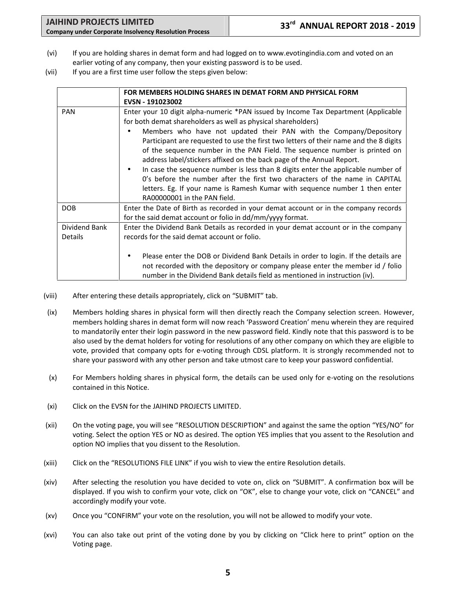- (vi) If you are holding shares in demat form and had logged on to www.evotingindia.com and voted on an earlier voting of any company, then your existing password is to be used.
- (vii) If you are a first time user follow the steps given below:

|                                 | FOR MEMBERS HOLDING SHARES IN DEMAT FORM AND PHYSICAL FORM<br>EVSN - 191023002                                                                                                                                                                                                                                                                                                                                                                                                                                                                                                                                                                                                                                                                                           |
|---------------------------------|--------------------------------------------------------------------------------------------------------------------------------------------------------------------------------------------------------------------------------------------------------------------------------------------------------------------------------------------------------------------------------------------------------------------------------------------------------------------------------------------------------------------------------------------------------------------------------------------------------------------------------------------------------------------------------------------------------------------------------------------------------------------------|
| <b>PAN</b>                      | Enter your 10 digit alpha-numeric *PAN issued by Income Tax Department (Applicable<br>for both demat shareholders as well as physical shareholders)<br>Members who have not updated their PAN with the Company/Depository<br>Participant are requested to use the first two letters of their name and the 8 digits<br>of the sequence number in the PAN Field. The sequence number is printed on<br>address label/stickers affixed on the back page of the Annual Report.<br>In case the sequence number is less than 8 digits enter the applicable number of<br>$\bullet$<br>O's before the number after the first two characters of the name in CAPITAL<br>letters. Eg. If your name is Ramesh Kumar with sequence number 1 then enter<br>RA00000001 in the PAN field. |
| <b>DOB</b>                      | Enter the Date of Birth as recorded in your demat account or in the company records<br>for the said demat account or folio in dd/mm/yyyy format.                                                                                                                                                                                                                                                                                                                                                                                                                                                                                                                                                                                                                         |
| Dividend Bank<br><b>Details</b> | Enter the Dividend Bank Details as recorded in your demat account or in the company<br>records for the said demat account or folio.                                                                                                                                                                                                                                                                                                                                                                                                                                                                                                                                                                                                                                      |
|                                 | Please enter the DOB or Dividend Bank Details in order to login. If the details are<br>٠<br>not recorded with the depository or company please enter the member id / folio<br>number in the Dividend Bank details field as mentioned in instruction (iv).                                                                                                                                                                                                                                                                                                                                                                                                                                                                                                                |

- (viii) After entering these details appropriately, click on "SUBMIT" tab.
- (ix) Members holding shares in physical form will then directly reach the Company selection screen. However, members holding shares in demat form will now reach 'Password Creation' menu wherein they are required to mandatorily enter their login password in the new password field. Kindly note that this password is to be also used by the demat holders for voting for resolutions of any other company on which they are eligible to vote, provided that company opts for e-voting through CDSL platform. It is strongly recommended not to share your password with any other person and take utmost care to keep your password confidential.
- (x) For Members holding shares in physical form, the details can be used only for e-voting on the resolutions contained in this Notice.
- (xi) Click on the EVSN for the JAIHIND PROJECTS LIMITED.
- (xii) On the voting page, you will see "RESOLUTION DESCRIPTION" and against the same the option "YES/NO" for voting. Select the option YES or NO as desired. The option YES implies that you assent to the Resolution and option NO implies that you dissent to the Resolution.
- (xiii) Click on the "RESOLUTIONS FILE LINK" if you wish to view the entire Resolution details.
- (xiv) After selecting the resolution you have decided to vote on, click on "SUBMIT". A confirmation box will be displayed. If you wish to confirm your vote, click on "OK", else to change your vote, click on "CANCEL" and accordingly modify your vote.
- (xv) Once you "CONFIRM" your vote on the resolution, you will not be allowed to modify your vote.
- (xvi) You can also take out print of the voting done by you by clicking on "Click here to print" option on the Voting page.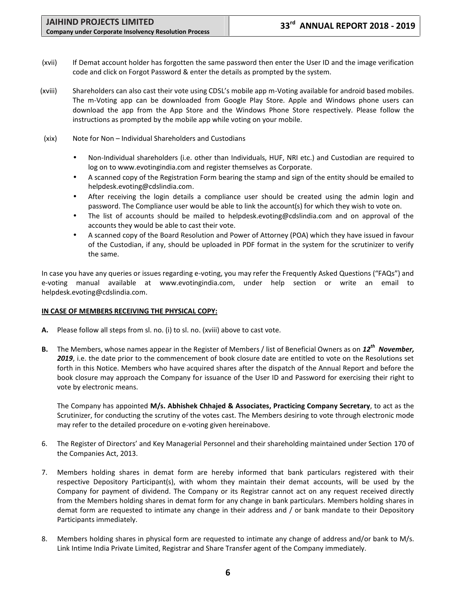- (xvii) If Demat account holder has forgotten the same password then enter the User ID and the image verification code and click on Forgot Password & enter the details as prompted by the system.
- (xviii) Shareholders can also cast their vote using CDSL's mobile app m-Voting available for android based mobiles. The m-Voting app can be downloaded from Google Play Store. Apple and Windows phone users can download the app from the App Store and the Windows Phone Store respectively. Please follow the instructions as prompted by the mobile app while voting on your mobile.
- (xix) Note for Non Individual Shareholders and Custodians
	- Non-Individual shareholders (i.e. other than Individuals, HUF, NRI etc.) and Custodian are required to log on to www.evotingindia.com and register themselves as Corporate.
	- A scanned copy of the Registration Form bearing the stamp and sign of the entity should be emailed to helpdesk.evoting@cdslindia.com.
	- After receiving the login details a compliance user should be created using the admin login and password. The Compliance user would be able to link the account(s) for which they wish to vote on.
	- The list of accounts should be mailed to helpdesk.evoting@cdslindia.com and on approval of the accounts they would be able to cast their vote.
	- A scanned copy of the Board Resolution and Power of Attorney (POA) which they have issued in favour of the Custodian, if any, should be uploaded in PDF format in the system for the scrutinizer to verify the same.

In case you have any queries or issues regarding e-voting, you may refer the Frequently Asked Questions ("FAQs") and e-voting manual available at www.evotingindia.com, under help section or write an email to helpdesk.evoting@cdslindia.com.

## **IN CASE OF MEMBERS RECEIVING THE PHYSICAL COPY:**

- **A.** Please follow all steps from sl. no. (i) to sl. no. (xviii) above to cast vote.
- **B.** The Members, whose names appear in the Register of Members / list of Beneficial Owners as on *12 th November,* 2019, i.e. the date prior to the commencement of book closure date are entitled to vote on the Resolutions set forth in this Notice. Members who have acquired shares after the dispatch of the Annual Report and before the book closure may approach the Company for issuance of the User ID and Password for exercising their right to vote by electronic means.

The Company has appointed **M/s. Abhishek Chhajed & Associates, Practicing Company Secretary**, to act as the Scrutinizer, for conducting the scrutiny of the votes cast. The Members desiring to vote through electronic mode may refer to the detailed procedure on e-voting given hereinabove.

- 6. The Register of Directors' and Key Managerial Personnel and their shareholding maintained under Section 170 of the Companies Act, 2013.
- 7. Members holding shares in demat form are hereby informed that bank particulars registered with their respective Depository Participant(s), with whom they maintain their demat accounts, will be used by the Company for payment of dividend. The Company or its Registrar cannot act on any request received directly from the Members holding shares in demat form for any change in bank particulars. Members holding shares in demat form are requested to intimate any change in their address and / or bank mandate to their Depository Participants immediately.
- 8. Members holding shares in physical form are requested to intimate any change of address and/or bank to M/s. Link Intime India Private Limited, Registrar and Share Transfer agent of the Company immediately.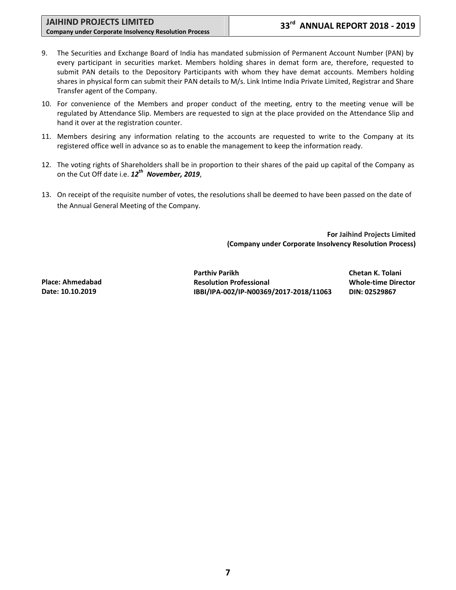- 9. The Securities and Exchange Board of India has mandated submission of Permanent Account Number (PAN) by every participant in securities market. Members holding shares in demat form are, therefore, requested to submit PAN details to the Depository Participants with whom they have demat accounts. Members holding shares in physical form can submit their PAN details to M/s. Link Intime India Private Limited, Registrar and Share Transfer agent of the Company.
- 10. For convenience of the Members and proper conduct of the meeting, entry to the meeting venue will be regulated by Attendance Slip. Members are requested to sign at the place provided on the Attendance Slip and hand it over at the registration counter.
- 11. Members desiring any information relating to the accounts are requested to write to the Company at its registered office well in advance so as to enable the management to keep the information ready.
- 12. The voting rights of Shareholders shall be in proportion to their shares of the paid up capital of the Company as on the Cut Off date i.e. *12th November, 2019*,
- 13. On receipt of the requisite number of votes, the resolutions shall be deemed to have been passed on the date of the Annual General Meeting of the Company.

**For Jaihind Projects Limited (Company under Corporate Insolvency Resolution Process)**

**Place: Ahmedabad Date: 10.10.2019**

**Parthiv Parikh Chetan K. Tolani Resolution Professional Whole-time Director IBBI/IPA-002/IP-N00369/2017-2018/11063 DIN: 02529867**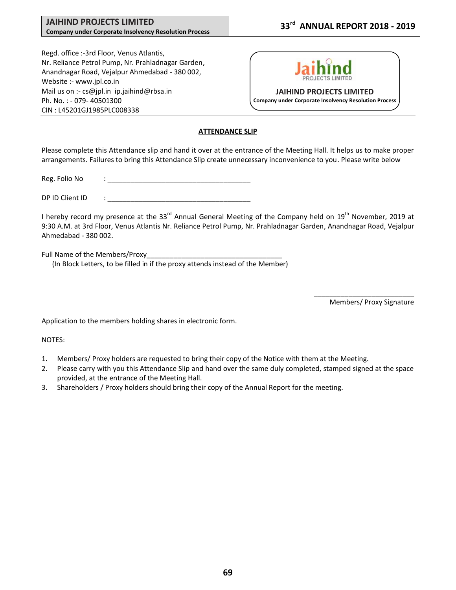### **JAIHIND PROJECTS LIMITED Company under Corporate Insolvency Resolution Process**

# **33rd ANNUAL REPORT 2018 - 2019**

Regd. office :-3rd Floor, Venus Atlantis, Nr. Reliance Petrol Pump, Nr. Prahladnagar Garden, Anandnagar Road, Vejalpur Ahmedabad - 380 002, Website :- www.jpl.co.in Mail us on :- cs@jpl.in ip.jaihind@rbsa.in Ph. No. : - 079- 40501300 CIN : L45201GJ1985PLC008338



## **ATTENDANCE SLIP**

Please complete this Attendance slip and hand it over at the entrance of the Meeting Hall. It helps us to make proper arrangements. Failures to bring this Attendance Slip create unnecessary inconvenience to you. Please write below

Reg. Folio No

DP ID Client ID

I hereby record my presence at the 33<sup>rd</sup> Annual General Meeting of the Company held on 19<sup>th</sup> November, 2019 at 9:30 A.M. at 3rd Floor, Venus Atlantis Nr. Reliance Petrol Pump, Nr. Prahladnagar Garden, Anandnagar Road, Vejalpur Ahmedabad - 380 002.

Full Name of the Members/Proxy

(In Block Letters, to be filled in if the proxy attends instead of the Member)

\_\_\_\_\_\_\_\_\_\_\_\_\_\_\_\_\_\_\_\_\_\_\_\_\_\_ Members/ Proxy Signature

Application to the members holding shares in electronic form.

NOTES:

- 1. Members/ Proxy holders are requested to bring their copy of the Notice with them at the Meeting.
- 2. Please carry with you this Attendance Slip and hand over the same duly completed, stamped signed at the space provided, at the entrance of the Meeting Hall.
- 3. Shareholders / Proxy holders should bring their copy of the Annual Report for the meeting.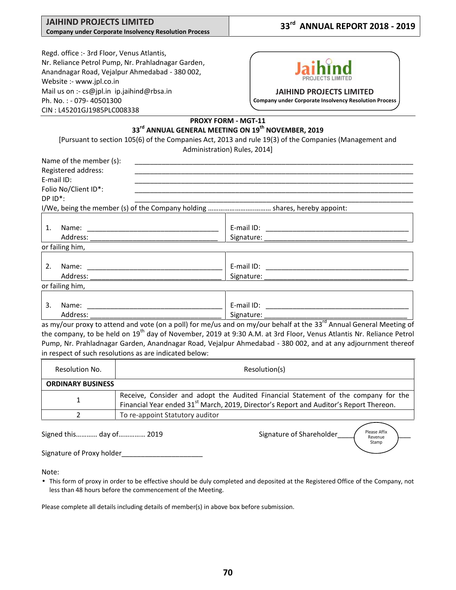#### **JAIHIND PROJECTS LIMITED Company under Corporate Insolvency Resolution Process**

# **33rd ANNUAL REPORT 2018 - 2019**

Regd. office :- 3rd Floor, Venus Atlantis, Nr. Reliance Petrol Pump, Nr. Prahladnagar Garden, Anandnagar Road, Vejalpur Ahmedabad - 380 002, Website :- www.jpl.co.in Mail us on :- cs@jpl.in ip.jaihind@rbsa.in Ph. No. : - 079- 40501300 CIN : L45201GJ1985PLC008338



#### **JAIHIND PROJECTS LIMITED**

**Company under Corporate Insolvency Resolution Process**

## **PROXY FORM - MGT-11 33rd ANNUAL GENERAL MEETING ON 19th NOVEMBER, 2019**

[Pursuant to section 105(6) of the Companies Act, 2013 and rule 19(3) of the Companies (Management and Administration) Rules, 2014]

| E-mail ID:                      |                       |
|---------------------------------|-----------------------|
| Folio No/Client ID*:            |                       |
| $DP$ $ID^*$ :                   |                       |
|                                 |                       |
| 1.                              |                       |
| Address: ______________________ |                       |
| or failing him,                 |                       |
| 2.                              |                       |
|                                 | Signature: Signature: |

| $\sim$<br>.<br><br>۰۱۷<br><u>. м</u><br>. .<br>______ | <u>.</u> | $-$<br>iname. | нан<br>. .<br>- |
|-------------------------------------------------------|----------|---------------|-----------------|
|                                                       |          |               |                 |

as my/our proxy to attend and vote (on a poll) for me/us and on my/our behalf at the 33<sup>rd</sup> Annual General Meeting of the company, to be held on 19<sup>th</sup> day of November, 2019 at 9:30 A.M. at 3rd Floor, Venus Atlantis Nr. Reliance Petrol Pump, Nr. Prahladnagar Garden, Anandnagar Road, Vejalpur Ahmedabad - 380 002, and at any adjournment thereof in respect of such resolutions as are indicated below:

| Resolution No.                  | Resolution(s)                                                                                                                                                                            |
|---------------------------------|------------------------------------------------------------------------------------------------------------------------------------------------------------------------------------------|
| <b>ORDINARY BUSINESS</b>        |                                                                                                                                                                                          |
|                                 | Receive, Consider and adopt the Audited Financial Statement of the company for the<br>Financial Year ended 31 <sup>st</sup> March, 2019, Director's Report and Auditor's Report Thereon. |
| To re-appoint Statutory auditor |                                                                                                                                                                                          |

Signed this………… day of…………… 2019 Signature of Shareholder

Please Affix Revenue Stamp

Signature of Proxy holder\_

Note:

 This form of proxy in order to be effective should be duly completed and deposited at the Registered Office of the Company, not less than 48 hours before the commencement of the Meeting.

Please complete all details including details of member(s) in above box before submission.